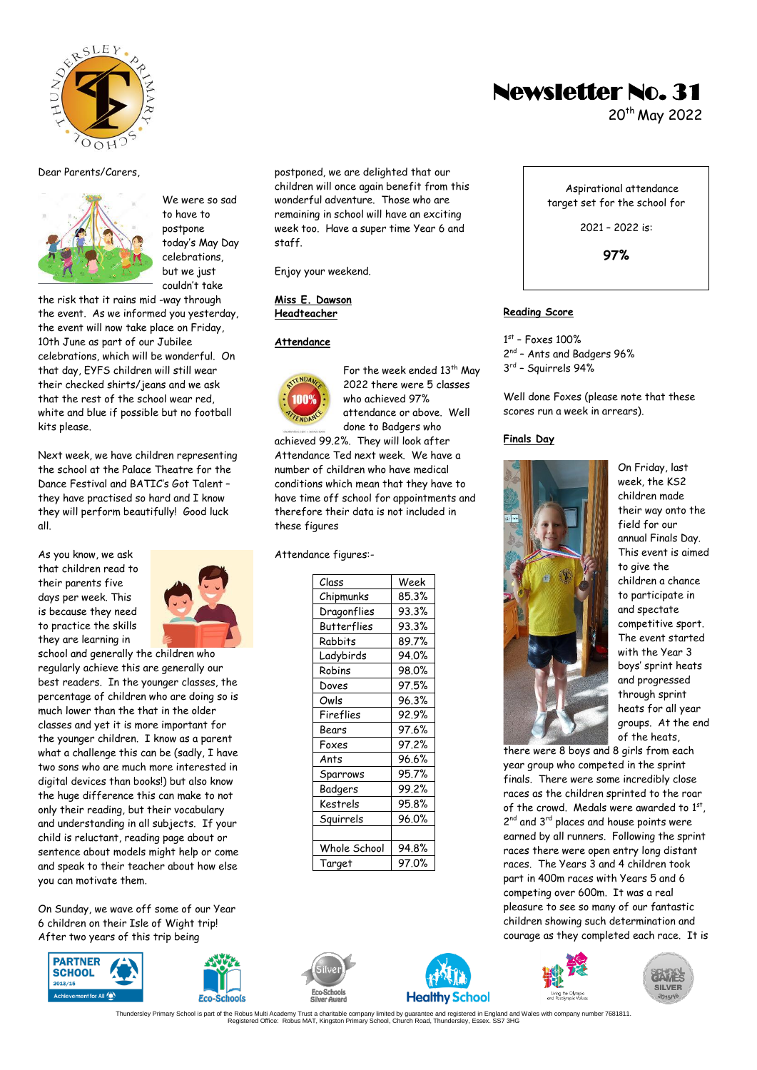

#### Dear Parents/Carers,



We were so sad to have to postpone today's May Day celebrations, but we just couldn't take

the risk that it rains mid -way through the event. As we informed you yesterday, the event will now take place on Friday, 10th June as part of our Jubilee celebrations, which will be wonderful. On that day, EYFS children will still wear their checked shirts/jeans and we ask that the rest of the school wear red, white and blue if possible but no football kits please.

Next week, we have children representing the school at the Palace Theatre for the Dance Festival and BATIC's Got Talent – they have practised so hard and I know they will perform beautifully! Good luck all.

As you know, we ask that children read to their parents five days per week. This is because they need to practice the skills they are learning in



school and generally the children who regularly achieve this are generally our best readers. In the younger classes, the percentage of children who are doing so is much lower than the that in the older classes and yet it is more important for the younger children. I know as a parent what a challenge this can be (sadly, I have two sons who are much more interested in digital devices than books!) but also know the huge difference this can make to not only their reading, but their vocabulary and understanding in all subjects. If your child is reluctant, reading page about or sentence about models might help or come and speak to their teacher about how else you can motivate them.

On Sunday, we wave off some of our Year 6 children on their Isle of Wight trip! After two years of this trip being





postponed, we are delighted that our children will once again benefit from this wonderful adventure. Those who are remaining in school will have an exciting week too. Have a super time Year 6 and staff.

Enjoy your weekend.

#### **Miss E. Dawson Headteacher**

#### **Attendance**



For the week ended  $13^{th}$  May 2022 there were 5 classes who achieved 97% attendance or above. Well done to Badgers who

achieved 99.2%. They will look after Attendance Ted next week. We have a number of children who have medical conditions which mean that they have to have time off school for appointments and therefore their data is not included in these figures

#### Attendance figures:-

| Class              | Week  |
|--------------------|-------|
| Chipmunks          | 85.3% |
| Dragonflies        | 93.3% |
| <b>Butterflies</b> | 93.3% |
| Rabbits            | 89.7% |
| Ladybirds          | 94.0% |
| Robins             | 98.0% |
| Doves              | 97.5% |
| Owls               | 96.3% |
| Fireflies          | 92.9% |
| Bears              | 97.6% |
| Foxes              | 97.2% |
| Ants               | 96.6% |
| Sparrows           | 95.7% |
| Badgers            | 99.2% |
| Kestrels           | 95.8% |
| Squirrels          | 96.0% |
|                    |       |
| Whole School       | 94.8% |
| Target             | 97.0% |





# Newsletter No. 31

20th May 2022

Aspirational attendance target set for the school for

2021 – 2022 is:

**97%** 

# **Reading Score**

1 st – Foxes 100% 2<sup>nd</sup> - Ants and Badgers 96% 3 rd – Squirrels 94%

Well done Foxes (please note that these scores run a week in arrears).

#### **Finals Day**



On Friday, last week, the KS2 children made their way onto the field for our annual Finals Day. This event is aimed to give the children a chance to participate in and spectate competitive sport. The event started with the Year 3 boys' sprint heats and progressed through sprint heats for all year groups. At the end of the heats,

there were 8 boys and 8 girls from each year group who competed in the sprint finals. There were some incredibly close races as the children sprinted to the roar of the crowd. Medals were awarded to 1st, 2<sup>nd</sup> and 3<sup>rd</sup> places and house points were earned by all runners. Following the sprint races there were open entry long distant races. The Years 3 and 4 children took part in 400m races with Years 5 and 6 competing over 600m. It was a real pleasure to see so many of our fantastic children showing such determination and courage as they completed each race. It is

Living the<br>And Pornha



.1881817 Thundersley Primary School is part of the Robus Multi Academy Trust a charitable company limited by guarantee and registered in England and Wales with company number 7681811<br>Registered Office: Robus MAT, Kingston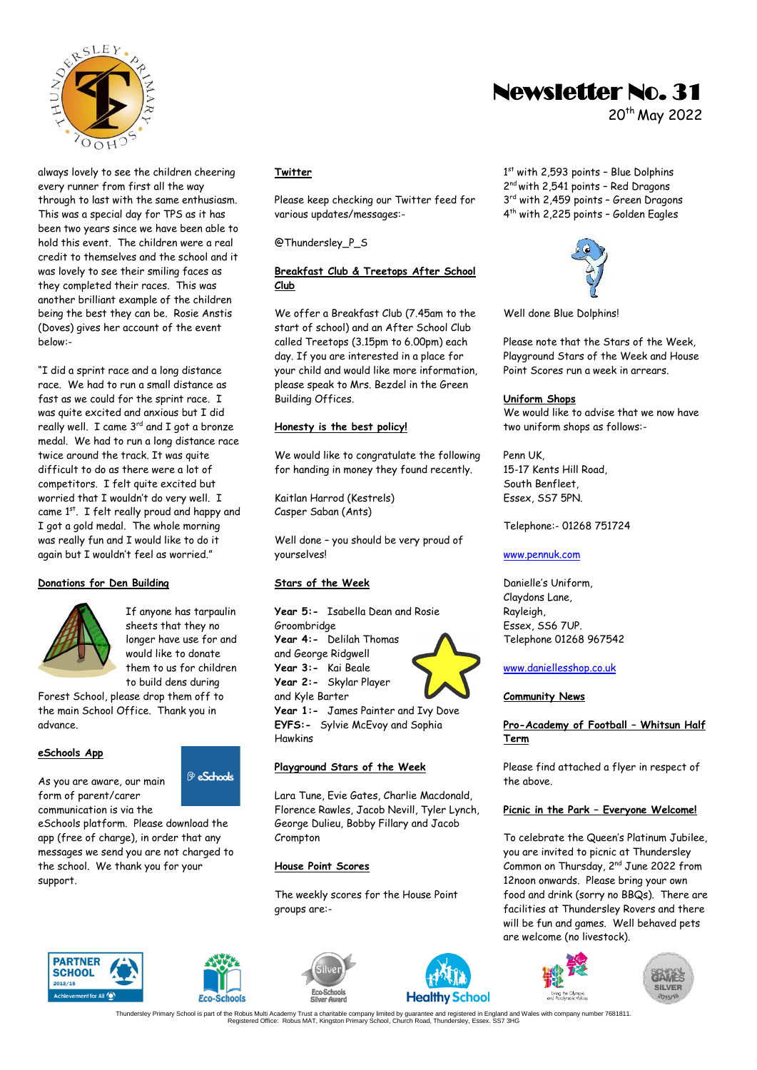

always lovely to see the children cheering every runner from first all the way through to last with the same enthusiasm. This was a special day for TPS as it has been two years since we have been able to hold this event. The children were a real credit to themselves and the school and it was lovely to see their smiling faces as they completed their races. This was another brilliant example of the children being the best they can be. Rosie Anstis (Doves) gives her account of the event below:-

"I did a sprint race and a long distance race. We had to run a small distance as fast as we could for the sprint race. T was quite excited and anxious but I did really well. I came  $3^{rd}$  and I got a bronze medal. We had to run a long distance race twice around the track. It was quite difficult to do as there were a lot of competitors. I felt quite excited but worried that I wouldn't do very well. I came 1<sup>st</sup>. I felt really proud and happy and I got a gold medal. The whole morning was really fun and I would like to do it again but I wouldn't feel as worried."

#### **Donations for Den Building**



If anyone has tarpaulin sheets that they no longer have use for and would like to donate them to us for children to build dens during

Forest School, please drop them off to the main School Office. Thank you in advance.

#### **eSchools App**

As you are aware, our main form of parent/carer communication is via the

eSchools platform. Please download the app (free of charge), in order that any messages we send you are not charged to the school. We thank you for your support.





<sup>®</sup> eSchools

# **Year 5:-** Isabella Dean and Rosie

yourselves!

**Stars of the Week**

**Twitter**

**Club** 

Please keep checking our Twitter feed for

**Breakfast Club & Treetops After School** 

We offer a Breakfast Club (7.45am to the start of school) and an After School Club called Treetops (3.15pm to 6.00pm) each day. If you are interested in a place for your child and would like more information, please speak to Mrs. Bezdel in the Green

We would like to congratulate the following for handing in money they found recently.

Well done – you should be very proud of

various updates/messages:-

@Thundersley\_P\_S

Building Offices.

**Honesty is the best policy!**

Kaitlan Harrod (Kestrels) Casper Saban (Ants)

Groombridge **Year 4:-** Delilah Thomas and George Ridgwell **Year 3:-** Kai Beale **Year 2:-** Skylar Player and Kyle Barter



**Year 1:-** James Painter and Ivy Dove **EYFS:-** Sylvie McEvoy and Sophia Hawkins

#### **Playground Stars of the Week**

Lara Tune, Evie Gates, Charlie Macdonald, Florence Rawles, Jacob Nevill, Tyler Lynch, George Dulieu, Bobby Fillary and Jacob Crompton

#### **House Point Scores**

The weekly scores for the House Point groups are:-





# Newsletter No. 31

20th May 2022

1st with 2,593 points - Blue Dolphins 2<sup>nd</sup> with 2,541 points - Red Dragons 3<sup>rd</sup> with 2,459 points - Green Dragons 4 th with 2,225 points – Golden Eagles



Well done Blue Dolphins!

Please note that the Stars of the Week, Playground Stars of the Week and House Point Scores run a week in arrears.

#### **Uniform Shops**

We would like to advise that we now have two uniform shops as follows:-

Penn UK, 15-17 Kents Hill Road, South Benfleet, Essex, SS7 5PN.

Telephone:- 01268 751724

#### [www.pennuk.com](http://www.pennuk.com/)

Danielle's Uniform, Claydons Lane, Rayleigh, Essex, SS6 7UP. Telephone 01268 967542

#### [www.daniellesshop.co.uk](http://www.daniellesshop.co.uk/)

#### **Community News**

## **Pro-Academy of Football – Whitsun Half Term**

Please find attached a flyer in respect of the above.

#### **Picnic in the Park – Everyone Welcome!**

To celebrate the Queen's Platinum Jubilee, you are invited to picnic at Thundersley Common on Thursday, 2nd June 2022 from 12noon onwards. Please bring your own food and drink (sorry no BBQs). There are facilities at Thundersley Rovers and there will be fun and games. Well behaved pets are welcome (no livestock).



.1881817 Thundersley Primary School is part of the Robus Multi Academy Trust a charitable company limited by guarantee and registered in England and Wales with company number 7681811<br>Registered Office: Robus MAT, Kingston